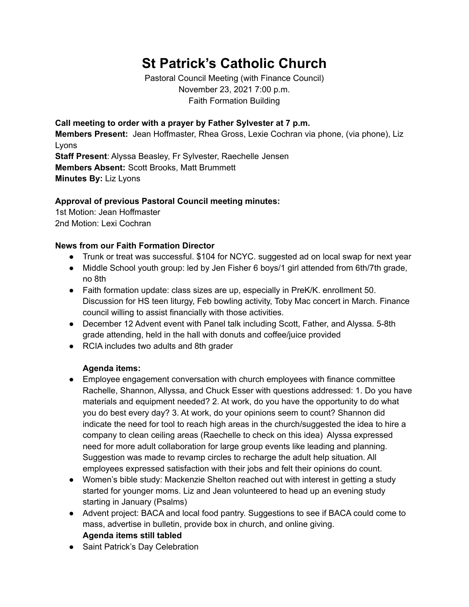## **St Patrick's Catholic Church**

Pastoral Council Meeting (with Finance Council) November 23, 2021 7:00 p.m. Faith Formation Building

**Call meeting to order with a prayer by Father Sylvester at 7 p.m. Members Present:** Jean Hoffmaster, Rhea Gross, Lexie Cochran via phone, (via phone), Liz Lyons **Staff Present**: Alyssa Beasley, Fr Sylvester, Raechelle Jensen **Members Absent:** Scott Brooks, Matt Brummett **Minutes By:** Liz Lyons

## **Approval of previous Pastoral Council meeting minutes:**

1st Motion: Jean Hoffmaster 2nd Motion: Lexi Cochran

## **News from our Faith Formation Director**

- Trunk or treat was successful. \$104 for NCYC. suggested ad on local swap for next year
- Middle School youth group: led by Jen Fisher 6 boys/1 girl attended from 6th/7th grade, no 8th
- Faith formation update: class sizes are up, especially in PreK/K. enrollment 50. Discussion for HS teen liturgy, Feb bowling activity, Toby Mac concert in March. Finance council willing to assist financially with those activities.
- December 12 Advent event with Panel talk including Scott, Father, and Alyssa. 5-8th grade attending, held in the hall with donuts and coffee/juice provided
- RCIA includes two adults and 8th grader

## **Agenda items:**

- Employee engagement conversation with church employees with finance committee Rachelle, Shannon, Allyssa, and Chuck Esser with questions addressed: 1. Do you have materials and equipment needed? 2. At work, do you have the opportunity to do what you do best every day? 3. At work, do your opinions seem to count? Shannon did indicate the need for tool to reach high areas in the church/suggested the idea to hire a company to clean ceiling areas (Raechelle to check on this idea) Alyssa expressed need for more adult collaboration for large group events like leading and planning. Suggestion was made to revamp circles to recharge the adult help situation. All employees expressed satisfaction with their jobs and felt their opinions do count.
- Women's bible study: Mackenzie Shelton reached out with interest in getting a study started for younger moms. Liz and Jean volunteered to head up an evening study starting in January (Psalms)
- Advent project: BACA and local food pantry. Suggestions to see if BACA could come to mass, advertise in bulletin, provide box in church, and online giving. **Agenda items still tabled**
- Saint Patrick's Day Celebration